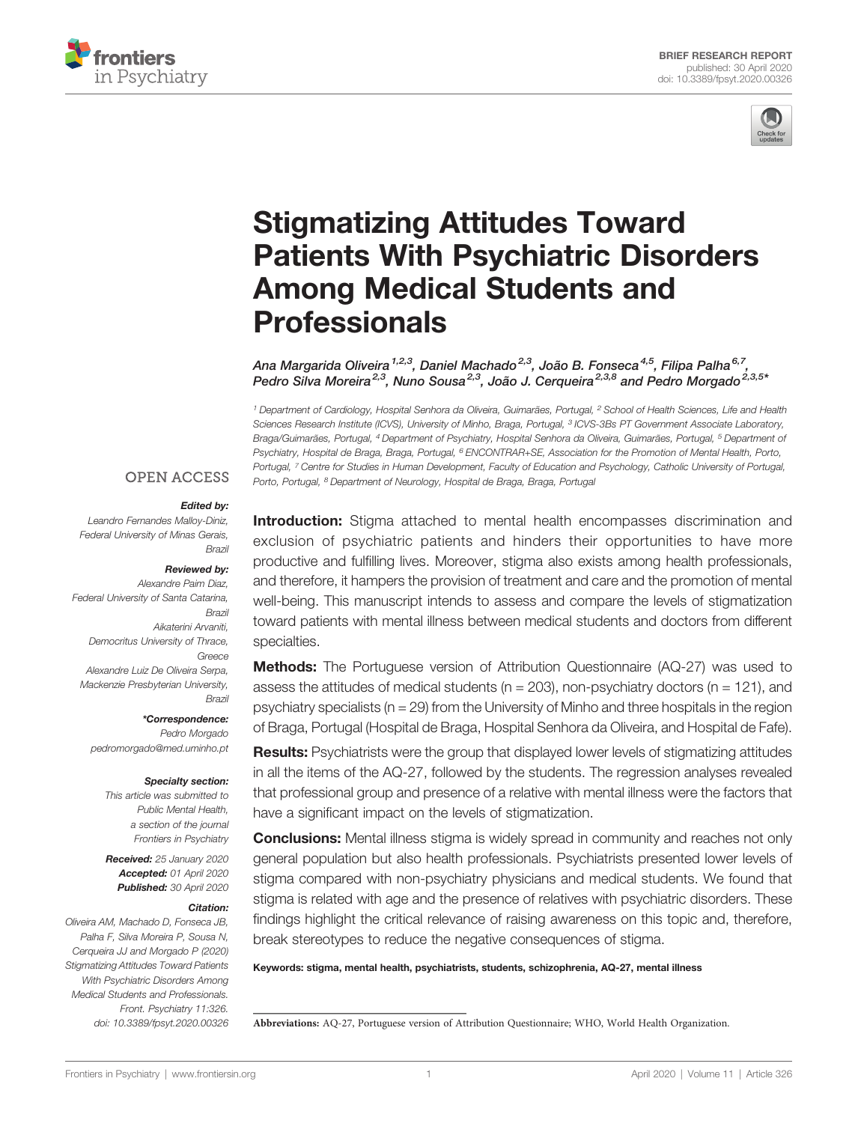



# [Stigmatizing Attitudes Toward](https://www.frontiersin.org/articles/10.3389/fpsyt.2020.00326/full) [Patients With Psychiatric Disorders](https://www.frontiersin.org/articles/10.3389/fpsyt.2020.00326/full) [Among Medical Students and](https://www.frontiersin.org/articles/10.3389/fpsyt.2020.00326/full) [Professionals](https://www.frontiersin.org/articles/10.3389/fpsyt.2020.00326/full)

Ana Margarida Oliveira <sup>1,2,3</sup>, Daniel Machado<sup>2,3</sup>, João B. Fonseca<sup>4,5</sup>, [Filipa Palha](https://loop.frontiersin.org/people/913650)<sup>6,7</sup>, [Pedro Silva Moreira](https://loop.frontiersin.org/people/282255)<sup>2,3</sup>, [Nuno Sousa](https://loop.frontiersin.org/people/2465)<sup>2,3</sup>, [João J. Cerqueira](https://loop.frontiersin.org/people/2488)<sup>2,3,8</sup> and [Pedro Morgado](https://loop.frontiersin.org/people/51122)<sup>2,3,5\*</sup>

<sup>1</sup> Department of Cardiology, Hospital Senhora da Oliveira, Guimarães, Portugal, <sup>2</sup> School of Health Sciences, Life and Health Sciences Research Institute (ICVS), University of Minho, Braga, Portugal, <sup>3</sup> ICVS-3Bs PT Government Associate Laboratory, Braga/Guimarães, Portugal, <sup>4</sup> Department of Psychiatry, Hospital Senhora da Oliveira, Guimarães, Portugal, <sup>5</sup> Department of Psychiatry, Hospital de Braga, Braga, Portugal, <sup>6</sup> ENCONTRAR+SE, Association for the Promotion of Mental Health, Porto, Portugal, <sup>7</sup> Centre for Studies in Human Development, Faculty of Education and Psychology, Catholic University of Portugal, Porto, Portugal, <sup>8</sup> Department of Neurology, Hospital de Braga, Braga, Portugal

## **OPEN ACCESS**

### Edited by:

Leandro Fernandes Malloy-Diniz, Federal University of Minas Gerais, Brazil

#### Reviewed by:

Alexandre Paim Diaz, Federal University of Santa Catarina, Brazil Aikaterini Arvaniti, Democritus University of Thrace, Greece Alexandre Luiz De Oliveira Serpa, Mackenzie Presbyterian University, Brazil

> \*Correspondence: Pedro Morgado [pedromorgado@med.uminho.pt](mailto:pedromorgado@med.uminho.pt)

#### Specialty section:

This article was submitted to Public Mental Health, a section of the journal Frontiers in Psychiatry

Received: 25 January 2020 Accepted: 01 April 2020 Published: 30 April 2020

#### Citation:

Oliveira AM, Machado D, Fonseca JB, Palha F, Silva Moreira P, Sousa N, Cerqueira JJ and Morgado P (2020) Stigmatizing Attitudes Toward Patients With Psychiatric Disorders Among Medical Students and Professionals. Front. Psychiatry 11:326. [doi: 10.3389/fpsyt.2020.00326](https://doi.org/10.3389/fpsyt.2020.00326) **Introduction:** Stigma attached to mental health encompasses discrimination and exclusion of psychiatric patients and hinders their opportunities to have more productive and fulfilling lives. Moreover, stigma also exists among health professionals, and therefore, it hampers the provision of treatment and care and the promotion of mental well-being. This manuscript intends to assess and compare the levels of stigmatization toward patients with mental illness between medical students and doctors from different specialties.

Methods: The Portuguese version of Attribution Questionnaire (AQ-27) was used to assess the attitudes of medical students ( $n = 203$ ), non-psychiatry doctors ( $n = 121$ ), and psychiatry specialists (n = 29) from the University of Minho and three hospitals in the region of Braga, Portugal (Hospital de Braga, Hospital Senhora da Oliveira, and Hospital de Fafe).

Results: Psychiatrists were the group that displayed lower levels of stigmatizing attitudes in all the items of the AQ-27, followed by the students. The regression analyses revealed that professional group and presence of a relative with mental illness were the factors that have a significant impact on the levels of stigmatization.

**Conclusions:** Mental illness stigma is widely spread in community and reaches not only general population but also health professionals. Psychiatrists presented lower levels of stigma compared with non-psychiatry physicians and medical students. We found that stigma is related with age and the presence of relatives with psychiatric disorders. These findings highlight the critical relevance of raising awareness on this topic and, therefore, break stereotypes to reduce the negative consequences of stigma.

Keywords: stigma, mental health, psychiatrists, students, schizophrenia, AQ-27, mental illness

Abbreviations: AQ-27, Portuguese version of Attribution Questionnaire; WHO, World Health Organization.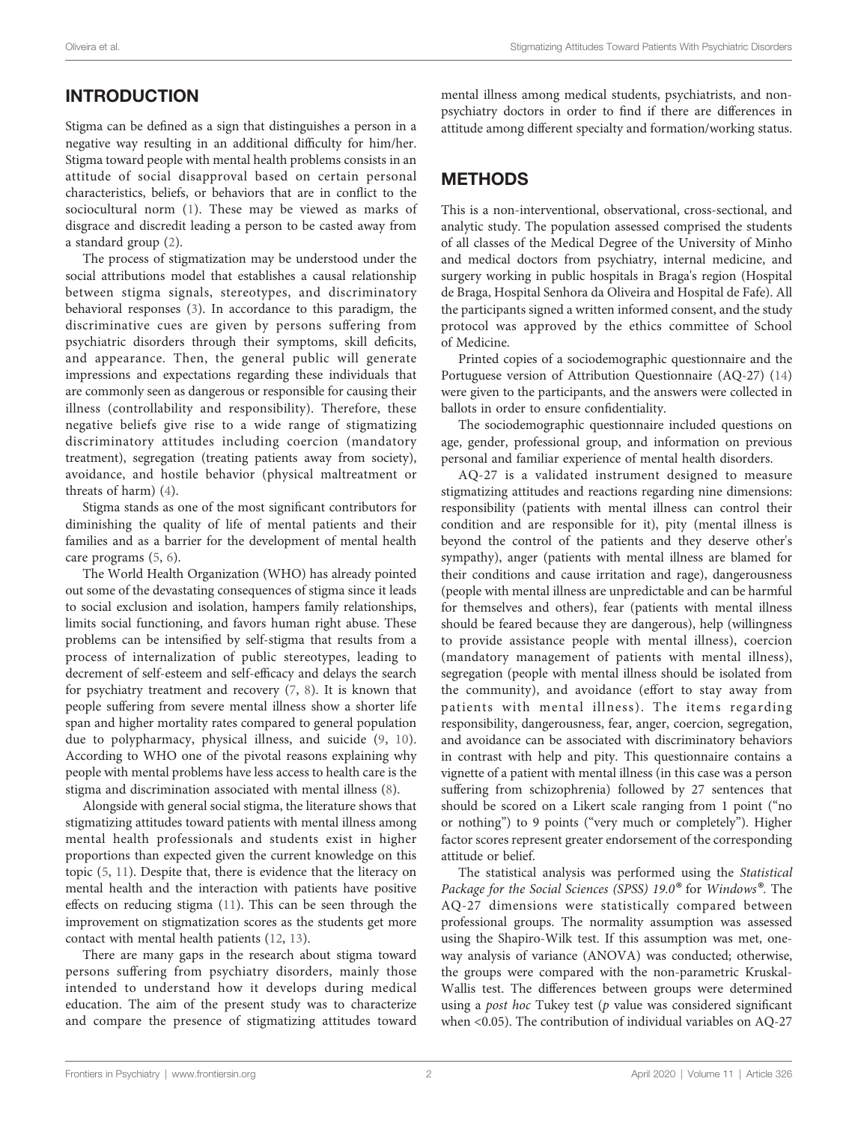# INTRODUCTION

Stigma can be defined as a sign that distinguishes a person in a negative way resulting in an additional difficulty for him/her. Stigma toward people with mental health problems consists in an attitude of social disapproval based on certain personal characteristics, beliefs, or behaviors that are in conflict to the sociocultural norm ([1\)](#page-6-0). These may be viewed as marks of disgrace and discredit leading a person to be casted away from a standard group ([2](#page-6-0)).

The process of stigmatization may be understood under the social attributions model that establishes a causal relationship between stigma signals, stereotypes, and discriminatory behavioral responses ([3](#page-6-0)). In accordance to this paradigm, the discriminative cues are given by persons suffering from psychiatric disorders through their symptoms, skill deficits, and appearance. Then, the general public will generate impressions and expectations regarding these individuals that are commonly seen as dangerous or responsible for causing their illness (controllability and responsibility). Therefore, these negative beliefs give rise to a wide range of stigmatizing discriminatory attitudes including coercion (mandatory treatment), segregation (treating patients away from society), avoidance, and hostile behavior (physical maltreatment or threats of harm) [\(4\)](#page-6-0).

Stigma stands as one of the most significant contributors for diminishing the quality of life of mental patients and their families and as a barrier for the development of mental health care programs [\(5,](#page-6-0) [6](#page-6-0)).

The World Health Organization (WHO) has already pointed out some of the devastating consequences of stigma since it leads to social exclusion and isolation, hampers family relationships, limits social functioning, and favors human right abuse. These problems can be intensified by self-stigma that results from a process of internalization of public stereotypes, leading to decrement of self-esteem and self-efficacy and delays the search for psychiatry treatment and recovery ([7](#page-6-0), [8\)](#page-6-0). It is known that people suffering from severe mental illness show a shorter life span and higher mortality rates compared to general population due to polypharmacy, physical illness, and suicide ([9](#page-6-0), [10\)](#page-6-0). According to WHO one of the pivotal reasons explaining why people with mental problems have less access to health care is the stigma and discrimination associated with mental illness ([8](#page-6-0)).

Alongside with general social stigma, the literature shows that stigmatizing attitudes toward patients with mental illness among mental health professionals and students exist in higher proportions than expected given the current knowledge on this topic ([5](#page-6-0), [11](#page-6-0)). Despite that, there is evidence that the literacy on mental health and the interaction with patients have positive effects on reducing stigma ([11\)](#page-6-0). This can be seen through the improvement on stigmatization scores as the students get more contact with mental health patients ([12](#page-6-0), [13](#page-6-0)).

There are many gaps in the research about stigma toward persons suffering from psychiatry disorders, mainly those intended to understand how it develops during medical education. The aim of the present study was to characterize and compare the presence of stigmatizing attitudes toward mental illness among medical students, psychiatrists, and nonpsychiatry doctors in order to find if there are differences in attitude among different specialty and formation/working status.

# METHODS

This is a non-interventional, observational, cross-sectional, and analytic study. The population assessed comprised the students of all classes of the Medical Degree of the University of Minho and medical doctors from psychiatry, internal medicine, and surgery working in public hospitals in Braga's region (Hospital de Braga, Hospital Senhora da Oliveira and Hospital de Fafe). All the participants signed a written informed consent, and the study protocol was approved by the ethics committee of School of Medicine.

Printed copies of a sociodemographic questionnaire and the Portuguese version of Attribution Questionnaire (AQ-27) ([14\)](#page-6-0) were given to the participants, and the answers were collected in ballots in order to ensure confidentiality.

The sociodemographic questionnaire included questions on age, gender, professional group, and information on previous personal and familiar experience of mental health disorders.

AQ-27 is a validated instrument designed to measure stigmatizing attitudes and reactions regarding nine dimensions: responsibility (patients with mental illness can control their condition and are responsible for it), pity (mental illness is beyond the control of the patients and they deserve other's sympathy), anger (patients with mental illness are blamed for their conditions and cause irritation and rage), dangerousness (people with mental illness are unpredictable and can be harmful for themselves and others), fear (patients with mental illness should be feared because they are dangerous), help (willingness to provide assistance people with mental illness), coercion (mandatory management of patients with mental illness), segregation (people with mental illness should be isolated from the community), and avoidance (effort to stay away from patients with mental illness). The items regarding responsibility, dangerousness, fear, anger, coercion, segregation, and avoidance can be associated with discriminatory behaviors in contrast with help and pity. This questionnaire contains a vignette of a patient with mental illness (in this case was a person suffering from schizophrenia) followed by 27 sentences that should be scored on a Likert scale ranging from 1 point ("no or nothing") to 9 points ("very much or completely"). Higher factor scores represent greater endorsement of the corresponding attitude or belief.

The statistical analysis was performed using the Statistical Package for the Social Sciences (SPSS) 19.0® for Windows®. The AQ-27 dimensions were statistically compared between professional groups. The normality assumption was assessed using the Shapiro-Wilk test. If this assumption was met, oneway analysis of variance (ANOVA) was conducted; otherwise, the groups were compared with the non-parametric Kruskal-Wallis test. The differences between groups were determined using a post hoc Tukey test ( $p$  value was considered significant when <0.05). The contribution of individual variables on AQ-27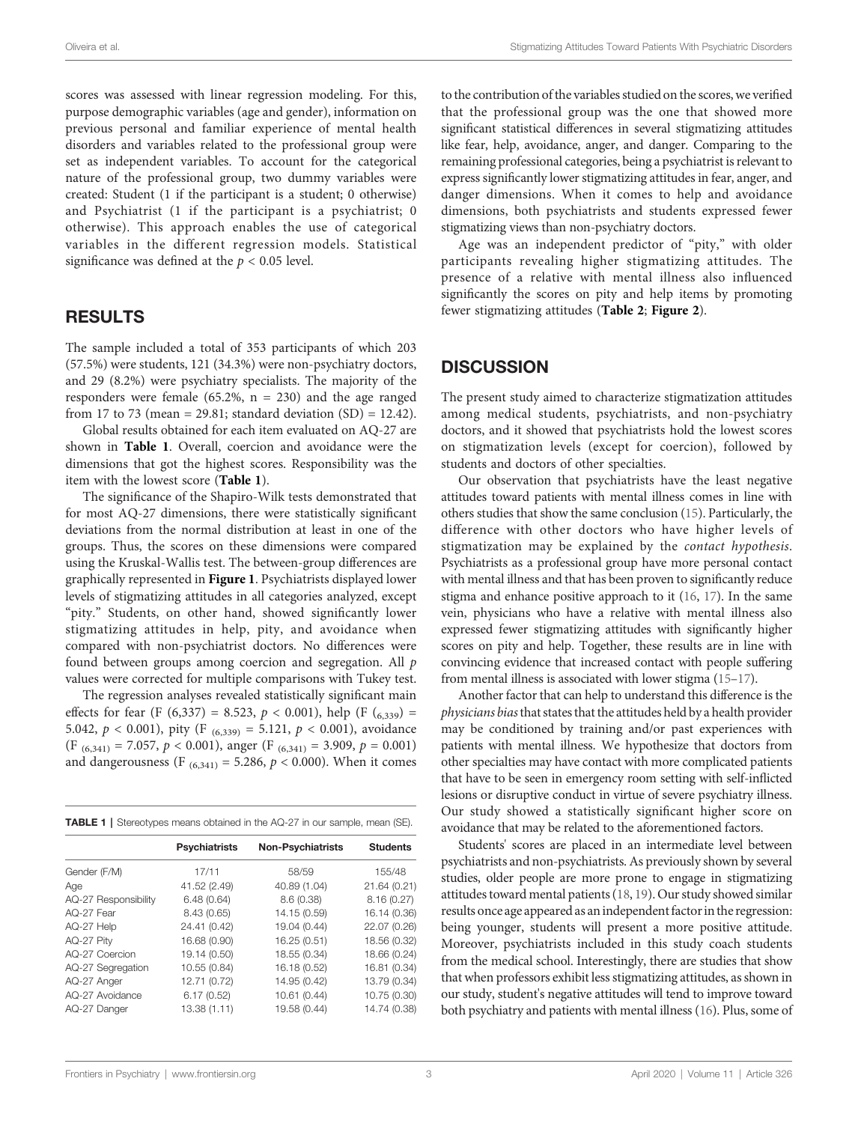scores was assessed with linear regression modeling. For this, purpose demographic variables (age and gender), information on previous personal and familiar experience of mental health disorders and variables related to the professional group were set as independent variables. To account for the categorical nature of the professional group, two dummy variables were created: Student (1 if the participant is a student; 0 otherwise) and Psychiatrist (1 if the participant is a psychiatrist; 0 otherwise). This approach enables the use of categorical variables in the different regression models. Statistical significance was defined at the  $p < 0.05$  level.

## RESULTS

The sample included a total of 353 participants of which 203 (57.5%) were students, 121 (34.3%) were non-psychiatry doctors, and 29 (8.2%) were psychiatry specialists. The majority of the responders were female (65.2%,  $n = 230$ ) and the age ranged from 17 to 73 (mean = 29.81; standard deviation  $(SD) = 12.42$ ).

Global results obtained for each item evaluated on AQ-27 are shown in Table 1. Overall, coercion and avoidance were the dimensions that got the highest scores. Responsibility was the item with the lowest score (Table 1).

The significance of the Shapiro-Wilk tests demonstrated that for most AQ-27 dimensions, there were statistically significant deviations from the normal distribution at least in one of the groups. Thus, the scores on these dimensions were compared using the Kruskal-Wallis test. The between-group differences are graphically represented in [Figure 1](#page-3-0). Psychiatrists displayed lower levels of stigmatizing attitudes in all categories analyzed, except "pity." Students, on other hand, showed significantly lower stigmatizing attitudes in help, pity, and avoidance when compared with non-psychiatrist doctors. No differences were found between groups among coercion and segregation. All  $p$ values were corrected for multiple comparisons with Tukey test.

The regression analyses revealed statistically significant main effects for fear (F (6,337) = 8.523,  $p < 0.001$ ), help (F (<sub>6,339</sub>) = 5.042,  $p < 0.001$ ), pity (F  $_{(6,339)} = 5.121$ ,  $p < 0.001$ ), avoidance  $(F_{(6,341)} = 7.057, p < 0.001)$ , anger  $(F_{(6,341)} = 3.909, p = 0.001)$ and dangerousness (F  $_{(6,341)} = 5.286$ ,  $p < 0.000$ ). When it comes

| <b>TABLE 1</b> Stereotypes means obtained in the AQ-27 in our sample, mean (SE). |                      |                          |                 |  |  |  |  |  |  |
|----------------------------------------------------------------------------------|----------------------|--------------------------|-----------------|--|--|--|--|--|--|
|                                                                                  | <b>Psychiatrists</b> | <b>Non-Psychiatrists</b> | <b>Students</b> |  |  |  |  |  |  |
| Gender (F/M)                                                                     | 17/11                | 58/59                    | 155/48          |  |  |  |  |  |  |
| Age                                                                              | 41.52 (2.49)         | 40.89 (1.04)             | 21.64 (0.21)    |  |  |  |  |  |  |
| AQ-27 Responsibility                                                             | 6.48(0.64)           | 8.6(0.38)                | 8.16(0.27)      |  |  |  |  |  |  |
| AQ-27 Fear                                                                       | 8.43(0.65)           | 14.15 (0.59)             | 16.14 (0.36)    |  |  |  |  |  |  |
| AQ-27 Help                                                                       | 24.41 (0.42)         | 19.04 (0.44)             | 22.07 (0.26)    |  |  |  |  |  |  |
| AQ-27 Pity                                                                       | 16.68 (0.90)         | 16.25 (0.51)             | 18.56 (0.32)    |  |  |  |  |  |  |
| AQ-27 Coercion                                                                   | 19.14 (0.50)         | 18.55 (0.34)             | 18.66 (0.24)    |  |  |  |  |  |  |
| AQ-27 Segregation                                                                | 10.55 (0.84)         | 16.18 (0.52)             | 16.81 (0.34)    |  |  |  |  |  |  |
| AQ-27 Anger                                                                      | 12.71 (0.72)         | 14.95 (0.42)             | 13.79 (0.34)    |  |  |  |  |  |  |
| AQ-27 Avoidance                                                                  | 6.17(0.52)           | 10.61 (0.44)             | 10.75 (0.30)    |  |  |  |  |  |  |
| AQ-27 Danger                                                                     | 13.38 (1.11)         | 19.58 (0.44)             | 14.74 (0.38)    |  |  |  |  |  |  |

to the contribution of the variables studied on the scores, we verified that the professional group was the one that showed more significant statistical differences in several stigmatizing attitudes like fear, help, avoidance, anger, and danger. Comparing to the remaining professional categories, being a psychiatrist is relevant to express significantly lower stigmatizing attitudes in fear, anger, and danger dimensions. When it comes to help and avoidance dimensions, both psychiatrists and students expressed fewer stigmatizing views than non-psychiatry doctors.

Age was an independent predictor of "pity," with older participants revealing higher stigmatizing attitudes. The presence of a relative with mental illness also influenced significantly the scores on pity and help items by promoting fewer stigmatizing attitudes ([Table 2](#page-4-0); [Figure 2](#page-5-0)).

## **DISCUSSION**

The present study aimed to characterize stigmatization attitudes among medical students, psychiatrists, and non-psychiatry doctors, and it showed that psychiatrists hold the lowest scores on stigmatization levels (except for coercion), followed by students and doctors of other specialties.

Our observation that psychiatrists have the least negative attitudes toward patients with mental illness comes in line with others studies that show the same conclusion ([15](#page-6-0)). Particularly, the difference with other doctors who have higher levels of stigmatization may be explained by the contact hypothesis. Psychiatrists as a professional group have more personal contact with mental illness and that has been proven to significantly reduce stigma and enhance positive approach to it ([16](#page-6-0), [17](#page-6-0)). In the same vein, physicians who have a relative with mental illness also expressed fewer stigmatizing attitudes with significantly higher scores on pity and help. Together, these results are in line with convincing evidence that increased contact with people suffering from mental illness is associated with lower stigma [\(15](#page-6-0)–[17\)](#page-6-0).

Another factor that can help to understand this difference is the physicians bias that states that the attitudes held by a health provider may be conditioned by training and/or past experiences with patients with mental illness. We hypothesize that doctors from other specialties may have contact with more complicated patients that have to be seen in emergency room setting with self-inflicted lesions or disruptive conduct in virtue of severe psychiatry illness. Our study showed a statistically significant higher score on avoidance that may be related to the aforementioned factors.

Students' scores are placed in an intermediate level between psychiatrists and non-psychiatrists. As previously shown by several studies, older people are more prone to engage in stigmatizing attitudes toward mental patients [\(18](#page-6-0), [19\)](#page-6-0). Our study showed similar results once age appeared as an independent factor in the regression: being younger, students will present a more positive attitude. Moreover, psychiatrists included in this study coach students from the medical school. Interestingly, there are studies that show that when professors exhibit less stigmatizing attitudes, as shown in our study, student's negative attitudes will tend to improve toward both psychiatry and patients with mental illness ([16](#page-6-0)). Plus, some of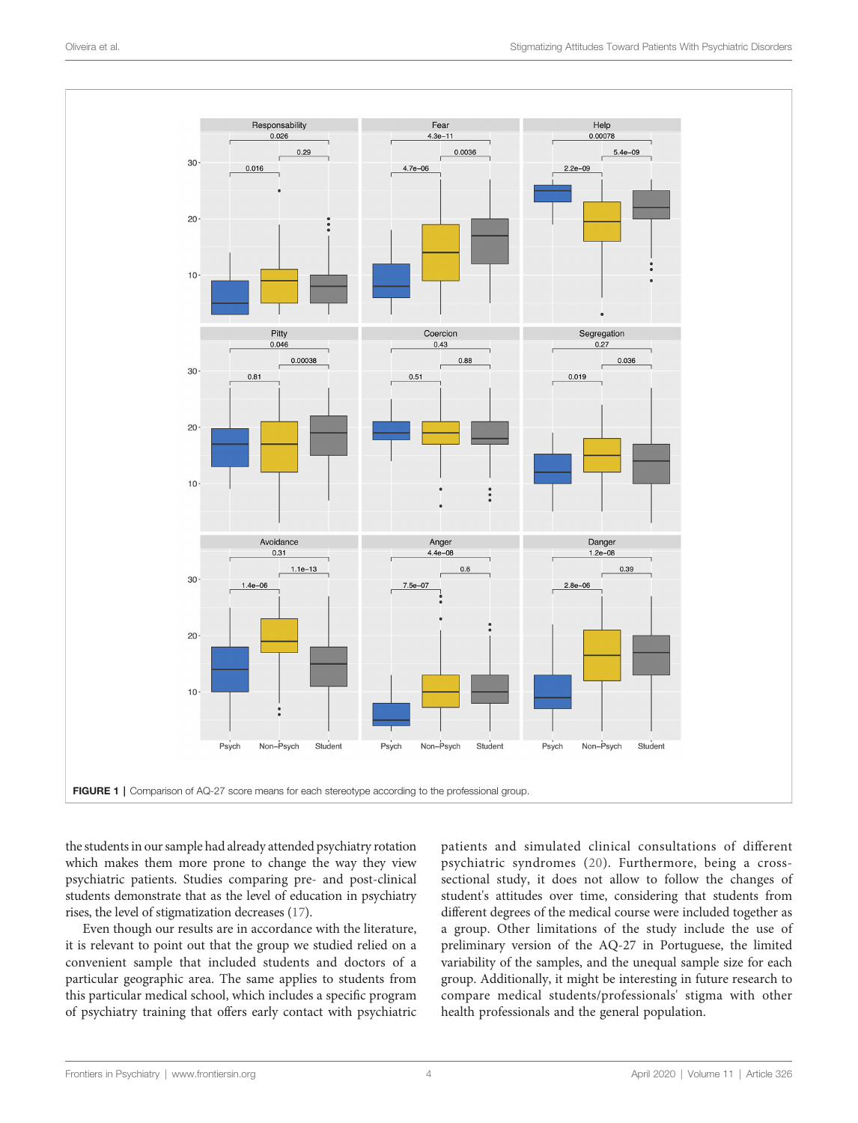<span id="page-3-0"></span>

the students in our sample had already attended psychiatry rotation which makes them more prone to change the way they view psychiatric patients. Studies comparing pre- and post-clinical students demonstrate that as the level of education in psychiatry rises, the level of stigmatization decreases ([17\)](#page-6-0).

Even though our results are in accordance with the literature, it is relevant to point out that the group we studied relied on a convenient sample that included students and doctors of a particular geographic area. The same applies to students from this particular medical school, which includes a specific program of psychiatry training that offers early contact with psychiatric patients and simulated clinical consultations of different psychiatric syndromes ([20](#page-6-0)). Furthermore, being a crosssectional study, it does not allow to follow the changes of student's attitudes over time, considering that students from different degrees of the medical course were included together as a group. Other limitations of the study include the use of preliminary version of the AQ-27 in Portuguese, the limited variability of the samples, and the unequal sample size for each group. Additionally, it might be interesting in future research to compare medical students/professionals' stigma with other health professionals and the general population.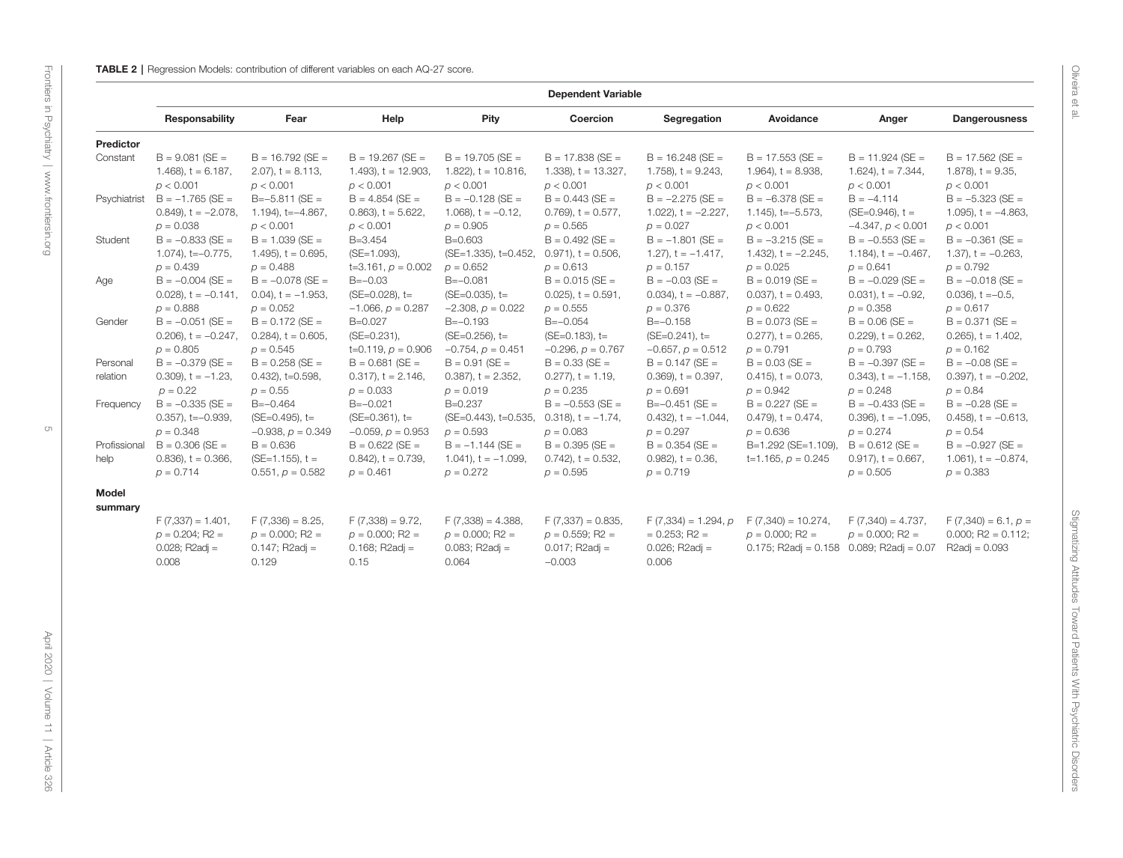<span id="page-4-0"></span>

|              | <b>Dependent Variable</b> |                         |                         |                          |                          |                            |                         |                            |                          |
|--------------|---------------------------|-------------------------|-------------------------|--------------------------|--------------------------|----------------------------|-------------------------|----------------------------|--------------------------|
|              | Responsability            | Fear                    | Help                    | Pity                     | Coercion                 | Segregation                | Avoidance               | Anger                      | <b>Dangerousness</b>     |
| Predictor    |                           |                         |                         |                          |                          |                            |                         |                            |                          |
| Constant     | $B = 9.081$ (SE =         | $B = 16.792$ (SE =      | $B = 19.267$ (SE =      | $B = 19.705$ (SE =       | $B = 17.838$ (SE =       | $B = 16.248$ (SE =         | $B = 17.553$ (SE =      | $B = 11.924$ (SE =         | $B = 17.562$ (SE =       |
|              | $1.468$ , $t = 6.187$ ,   | $(2.07)$ , t = 8.113,   | 1.493), $t = 12.903$ ,  | $1.822$ , $t = 10.816$ , | $1.338$ , $t = 13.327$ , | $1.758$ , $t = 9.243$ ,    | $1.964$ , $t = 8.938$ , | $1.624$ , $t = 7.344$ ,    | $1.878$ , $t = 9.35$ ,   |
|              | p < 0.001                 | p < 0.001               | p < 0.001               | p < 0.001                | p < 0.001                | p < 0.001                  | p < 0.001               | p < 0.001                  | p < 0.001                |
| Psychiatrist | $B = -1.765$ (SE =        | $B=-5.811$ (SE =        | $B = 4.854$ (SE =       | $B = -0.128$ (SE =       | $B = 0.443$ (SE =        | $B = -2.275$ (SE =         | $B = -6.378$ (SE =      | $B = -4.114$               | $B = -5.323$ (SE =       |
|              | $0.849$ , $t = -2.078$ ,  | $1.194$ , t= $-4.867$ , | $0.863$ , $t = 5.622$ , | 1.068), $t = -0.12$ ,    | $0.769$ , t = 0.577,     | 1.022), $t = -2.227$ ,     | $1.145$ , t= $-5.573$ , | $(SE=0.946)$ , t =         | $1.095$ , $t = -4.863$ , |
|              | $p = 0.038$               | p < 0.001               | p < 0.001               | $p = 0.905$              | $p = 0.565$              | $p = 0.027$                | p < 0.001               | $-4.347, p < 0.001$        | p < 0.001                |
| Student      | $B = -0.833$ (SE =        | $B = 1.039$ (SE =       | $B = 3.454$             | $B = 0.603$              | $B = 0.492$ (SE =        | $B = -1.801$ (SE =         | $B = -3.215$ (SE =      | $B = -0.553$ (SE =         | $B = -0.361$ (SE =       |
|              | $1.074$ , t= $-0.775$ ,   | 1.495), $t = 0.695$ ,   | $(SE=1.093)$ ,          | (SE=1.335), t=0.452,     | $0.971$ , $t = 0.506$ ,  | $1.27$ , $t = -1.417$ ,    | 1.432), $t = -2.245$ ,  | 1.184), $t = -0.467$ ,     | 1.37), $t = -0.263$ ,    |
|              | $p = 0.439$               | $p = 0.488$             | $t=3.161, p = 0.002$    | $p = 0.652$              | $p = 0.613$              | $p = 0.157$                | $p = 0.025$             | $p = 0.641$                | $p = 0.792$              |
| Age          | $B = -0.004$ (SE =        | $B = -0.078$ (SE =      | $B=-0.03$               | $B=-0.081$               | $B = 0.015$ (SE =        | $B = -0.03$ (SE =          | $B = 0.019$ (SE =       | $B = -0.029$ (SE =         | $B = -0.018$ (SE =       |
|              | $0.028$ , t = $-0.141$ ,  | $0.04$ , $t = -1.953$ , | $(SE=0.028)$ , t=       | $(SE=0.035)$ , t=        | $0.025$ , $t = 0.591$ ,  | $0.034$ , $t = -0.887$ ,   | $0.037$ , $t = 0.493$ , | $0.031$ , $t = -0.92$ ,    | $0.036$ , t = $-0.5$ ,   |
|              | $p = 0.888$               | $p = 0.052$             | $-1.066, p = 0.287$     | $-2.308, p = 0.022$      | $p = 0.555$              | $p = 0.376$                | $p = 0.622$             | $p = 0.358$                | $p = 0.617$              |
| Gender       | $B = -0.051$ (SE =        | $B = 0.172$ (SE =       | $B=0.027$               | $B=-0.193$               | $B=-0.054$               | $B=-0.158$                 | $B = 0.073$ (SE =       | $B = 0.06$ (SE =           | $B = 0.371$ (SE =        |
|              | $0.206$ , t = $-0.247$ ,  | $0.284$ , $t = 0.605$ , | $(SE=0.231)$ ,          | $(SE=0.256)$ , t=        | $(SE=0.183)$ , t=        | $(SE=0.241)$ , t=          | $0.277$ , $t = 0.265$ , | $0.229$ , $t = 0.262$ ,    | $0.265$ , $t = 1.402$ ,  |
|              | $p = 0.805$               | $p = 0.545$             | $t=0.119, p = 0.906$    | $-0.754$ , $p = 0.451$   | $-0.296, p = 0.767$      | $-0.657, p = 0.512$        | $p = 0.791$             | $p = 0.793$                | $p = 0.162$              |
| Personal     | $B = -0.379$ (SE =        | $B = 0.258$ (SE =       | $B = 0.681$ (SE =       | $B = 0.91$ (SE =         | $B = 0.33$ (SE =         | $B = 0.147$ (SE =          | $B = 0.03$ (SE =        | $B = -0.397$ (SE =         | $B = -0.08$ (SE =        |
| relation     | $0.309$ , t = $-1.23$ ,   | $0.432$ ), $t=0.598$ ,  | $(0.317)$ , t = 2.146,  | $(0.387)$ , t = 2.352,   | $0.277$ , $t = 1.19$ ,   | $0.369$ , $t = 0.397$ ,    | $0.415$ , $t = 0.073$ , | $(0.343)$ , t = $-1.158$ , | $0.397$ , t = $-0.202$ , |
|              | $p = 0.22$                | $p = 0.55$              | $p = 0.033$             | $p = 0.019$              | $p = 0.235$              | $p = 0.691$                | $p = 0.942$             | $p = 0.248$                | $p = 0.84$               |
| Frequency    | $B = -0.335$ (SE =        | $B=-0.464$              | $B=-0.021$              | $B = 0.237$              | $B = -0.553$ (SE =       | $B=-0.451$ (SE =           | $B = 0.227$ (SE =       | $B = -0.433$ (SE =         | $B = -0.28$ (SE =        |
|              | $0.357$ ), t= $-0.939$ ,  | $(SE=0.495)$ , t=       | $(SE=0.361)$ , t=       | (SE=0.443), t=0.535,     | $0.318$ , $t = -1.74$ ,  | $(0.432)$ , $t = -1.044$ , | $0.479$ , $t = 0.474$ , | $0.396$ , t = $-1.095$ ,   | $0.458$ , t = $-0.613$ , |
|              | $p = 0.348$               | $-0.938, p = 0.349$     | $-0.059$ , $p = 0.953$  | $p = 0.593$              | $p = 0.083$              | $p = 0.297$                | $p = 0.636$             | $p = 0.274$                | $p = 0.54$               |
| Profissional | $B = 0.306$ (SE =         | $B = 0.636$             | $B = 0.622$ (SE =       | $B = -1.144$ (SE =       | $B = 0.395$ (SE =        | $B = 0.354$ (SE =          | B=1.292 (SE=1.109),     | $B = 0.612$ (SE =          | $B = -0.927$ (SE =       |
| help         | $0.836$ , $t = 0.366$ ,   | $(SE=1.155)$ , t =      | $0.842$ , $t = 0.739$ , | $1.041$ , $t = -1.099$ , | $0.742$ , $t = 0.532$ ,  | $0.982$ , $t = 0.36$ ,     | $t=1.165, p = 0.245$    | $0.917$ , $t = 0.667$ ,    | 1.061), $t = -0.874$ ,   |
|              | $p = 0.714$               | $0.551, p = 0.582$      | $p = 0.461$             | $p = 0.272$              | $p = 0.595$              | $p = 0.719$                |                         | $p = 0.505$                | $p = 0.383$              |
| Model        |                           |                         |                         |                          |                          |                            |                         |                            |                          |
| summary      |                           |                         |                         |                          |                          |                            |                         |                            |                          |
|              | $F(7,337) = 1.401$ ,      | $F(7,336) = 8.25$       | $F(7,338) = 9.72$       | $F(7,338) = 4.388$       | $F(7,337) = 0.835$ ,     | $F(7,334) = 1.294, p$      | $F(7,340) = 10.274$ ,   | $F(7,340) = 4.737$ ,       | $F(7,340) = 6.1, p =$    |
|              | $p = 0.204$ ; R2 =        | $p = 0.000$ ; R2 =      | $p = 0.000$ ; R2 =      | $p = 0.000$ ; R2 =       | $p = 0.559$ ; R2 =       | $= 0.253$ ; R2 $=$         | $p = 0.000$ ; R2 =      | $p = 0.000$ ; R2 =         | $0.000; R2 = 0.112;$     |
|              | $0.028$ ; R2adj =         | $0.147$ ; R2adj =       | $0.168$ ; R2adj =       | $0.083$ ; R2adj =        | $0.017$ ; R2adj =        | $0.026$ ; R2adj =          | $0.175$ ; R2adj = 0.158 | $0.089$ ; R2adj = $0.07$   | $R2adi = 0.093$          |
|              | 0.008                     | 0.129                   | 0.15                    | 0.064                    | $-0.003$                 | 0.006                      |                         |                            |                          |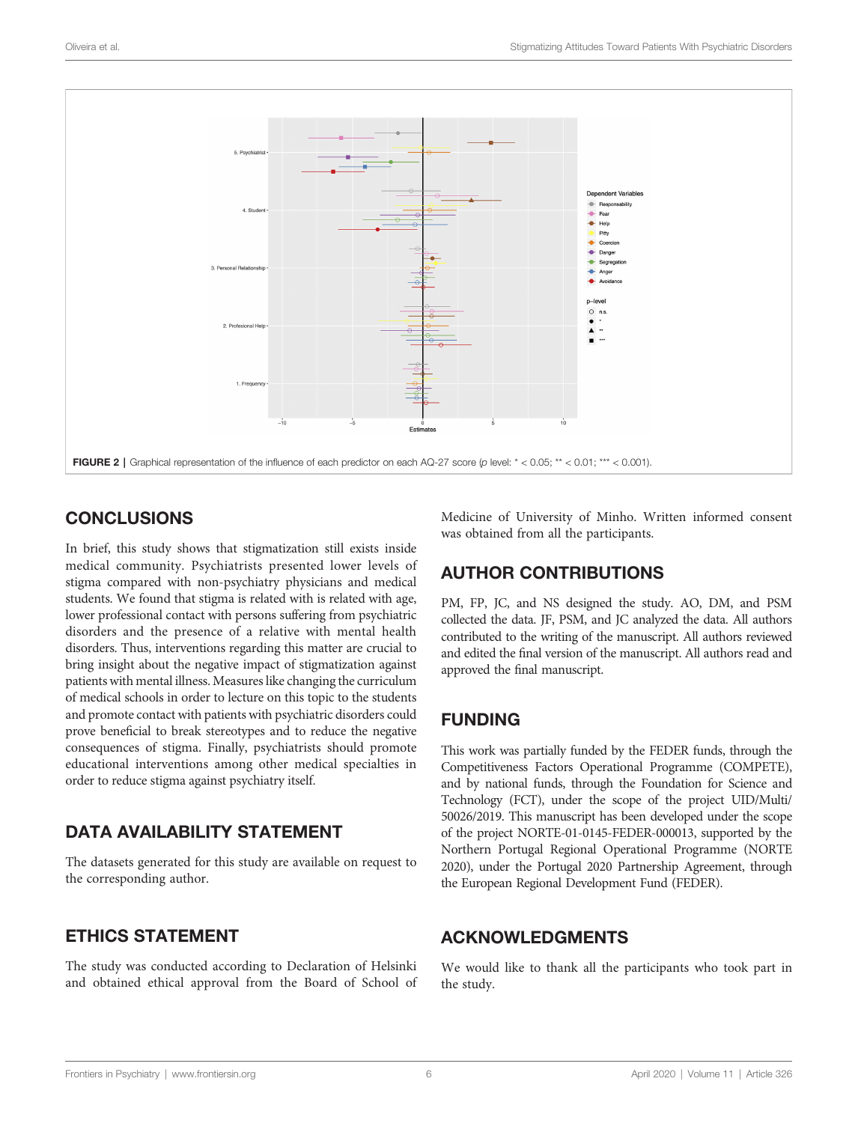<span id="page-5-0"></span>

# **CONCLUSIONS**

In brief, this study shows that stigmatization still exists inside medical community. Psychiatrists presented lower levels of stigma compared with non-psychiatry physicians and medical students. We found that stigma is related with is related with age, lower professional contact with persons suffering from psychiatric disorders and the presence of a relative with mental health disorders. Thus, interventions regarding this matter are crucial to bring insight about the negative impact of stigmatization against patients with mental illness. Measures like changing the curriculum of medical schools in order to lecture on this topic to the students and promote contact with patients with psychiatric disorders could prove beneficial to break stereotypes and to reduce the negative consequences of stigma. Finally, psychiatrists should promote educational interventions among other medical specialties in order to reduce stigma against psychiatry itself.

# DATA AVAILABILITY STATEMENT

The datasets generated for this study are available on request to the corresponding author.

# ETHICS STATEMENT

The study was conducted according to Declaration of Helsinki and obtained ethical approval from the Board of School of Medicine of University of Minho. Written informed consent was obtained from all the participants.

# AUTHOR CONTRIBUTIONS

PM, FP, JC, and NS designed the study. AO, DM, and PSM collected the data. JF, PSM, and JC analyzed the data. All authors contributed to the writing of the manuscript. All authors reviewed and edited the final version of the manuscript. All authors read and approved the final manuscript.

# FUNDING

This work was partially funded by the FEDER funds, through the Competitiveness Factors Operational Programme (COMPETE), and by national funds, through the Foundation for Science and Technology (FCT), under the scope of the project UID/Multi/ 50026/2019. This manuscript has been developed under the scope of the project NORTE-01-0145-FEDER-000013, supported by the Northern Portugal Regional Operational Programme (NORTE 2020), under the Portugal 2020 Partnership Agreement, through the European Regional Development Fund (FEDER).

# ACKNOWLEDGMENTS

We would like to thank all the participants who took part in the study.